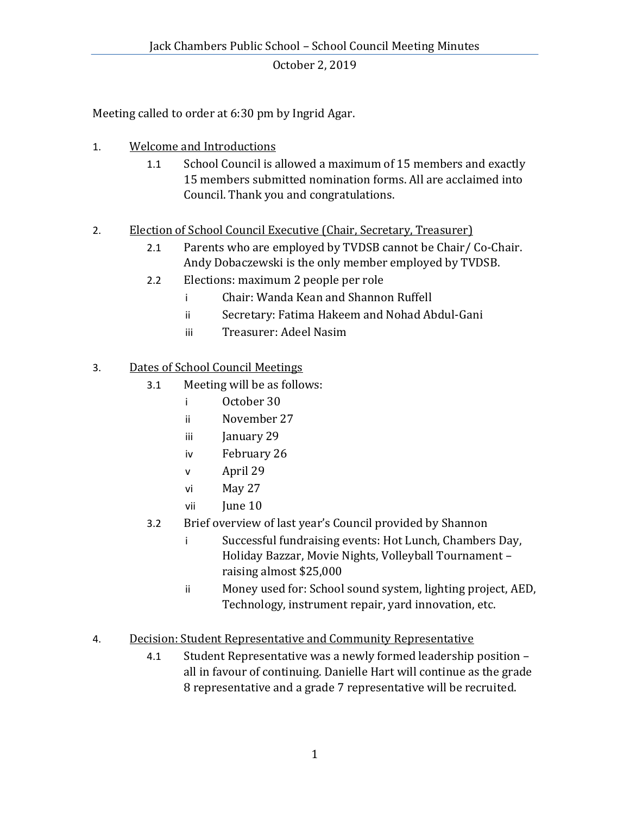October 2, 2019

Meeting called to order at 6:30 pm by Ingrid Agar.

- 1. Welcome and Introductions
	- 1.1 School Council is allowed a maximum of 15 members and exactly 15 members submitted nomination forms. All are acclaimed into Council. Thank you and congratulations.
- 2. Election of School Council Executive (Chair, Secretary, Treasurer)
	- 2.1 Parents who are employed by TVDSB cannot be Chair/ Co-Chair. Andy Dobaczewski is the only member employed by TVDSB.
	- 2.2 Elections: maximum 2 people per role
		- i Chair: Wanda Kean and Shannon Ruffell
		- ii Secretary: Fatima Hakeem and Nohad Abdul-Gani
		- iii Treasurer: Adeel Nasim

## 3. Dates of School Council Meetings

- 3.1 Meeting will be as follows:
	- i October 30
	- ii November 27
	- iii January 29
	- iv February 26
	- v April 29
	- vi May 27
	- vii June 10
- 3.2 Brief overview of last year's Council provided by Shannon
	- i Successful fundraising events: Hot Lunch, Chambers Day, Holiday Bazzar, Movie Nights, Volleyball Tournament – raising almost \$25,000
	- ii Money used for: School sound system, lighting project, AED, Technology, instrument repair, yard innovation, etc.
- 4. Decision: Student Representative and Community Representative
	- 4.1 Student Representative was a newly formed leadership position all in favour of continuing. Danielle Hart will continue as the grade 8 representative and a grade 7 representative will be recruited.